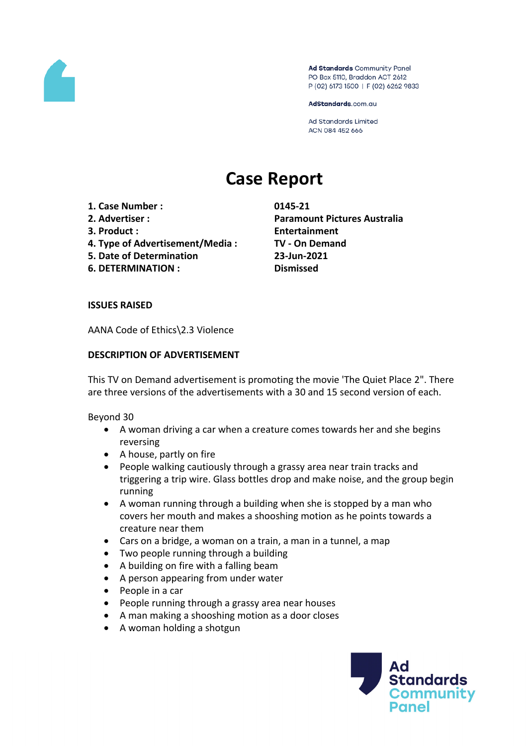

Ad Standards Community Panel PO Box 5110, Braddon ACT 2612 P (02) 6173 1500 | F (02) 6262 9833

AdStandards.com.au

**Ad Standards Limited** ACN 084 452 666

# **Case Report**

- **1. Case Number : 0145-21**
- 
- 
- **4. Type of Advertisement/Media : TV - On Demand**
- **5. Date of Determination 23-Jun-2021**
- **6. DETERMINATION : Dismissed**

**2. Advertiser : Paramount Pictures Australia 3. Product : Entertainment**

## **ISSUES RAISED**

AANA Code of Ethics\2.3 Violence

## **DESCRIPTION OF ADVERTISEMENT**

This TV on Demand advertisement is promoting the movie 'The Quiet Place 2". There are three versions of the advertisements with a 30 and 15 second version of each.

Beyond 30

- A woman driving a car when a creature comes towards her and she begins reversing
- A house, partly on fire
- People walking cautiously through a grassy area near train tracks and triggering a trip wire. Glass bottles drop and make noise, and the group begin running
- A woman running through a building when she is stopped by a man who covers her mouth and makes a shooshing motion as he points towards a creature near them
- Cars on a bridge, a woman on a train, a man in a tunnel, a map
- Two people running through a building
- A building on fire with a falling beam
- A person appearing from under water
- $\bullet$  People in a car
- People running through a grassy area near houses
- A man making a shooshing motion as a door closes
- A woman holding a shotgun

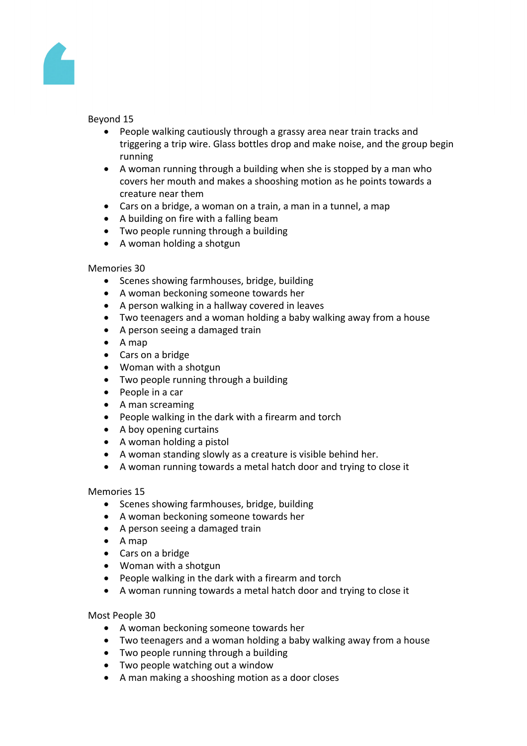

## Beyond 15

- People walking cautiously through a grassy area near train tracks and triggering a trip wire. Glass bottles drop and make noise, and the group begin running
- A woman running through a building when she is stopped by a man who covers her mouth and makes a shooshing motion as he points towards a creature near them
- Cars on a bridge, a woman on a train, a man in a tunnel, a map
- A building on fire with a falling beam
- Two people running through a building
- A woman holding a shotgun

#### Memories 30

- Scenes showing farmhouses, bridge, building
- A woman beckoning someone towards her
- A person walking in a hallway covered in leaves
- Two teenagers and a woman holding a baby walking away from a house
- A person seeing a damaged train
- $\bullet$  A map
- Cars on a bridge
- Woman with a shotgun
- Two people running through a building
- People in a car
- A man screaming
- People walking in the dark with a firearm and torch
- A boy opening curtains
- A woman holding a pistol
- A woman standing slowly as a creature is visible behind her.
- A woman running towards a metal hatch door and trying to close it

## Memories 15

- Scenes showing farmhouses, bridge, building
- A woman beckoning someone towards her
- A person seeing a damaged train
- $\bullet$  A map
- Cars on a bridge
- Woman with a shotgun
- People walking in the dark with a firearm and torch
- A woman running towards a metal hatch door and trying to close it

## Most People 30

- A woman beckoning someone towards her
- Two teenagers and a woman holding a baby walking away from a house
- Two people running through a building
- Two people watching out a window
- A man making a shooshing motion as a door closes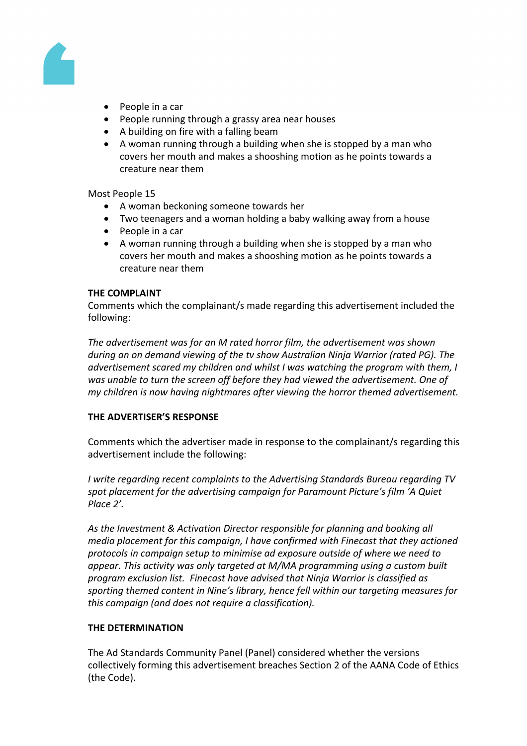

- People in a car
- People running through a grassy area near houses
- A building on fire with a falling beam
- A woman running through a building when she is stopped by a man who covers her mouth and makes a shooshing motion as he points towards a creature near them

Most People 15

- A woman beckoning someone towards her
- Two teenagers and a woman holding a baby walking away from a house
- $\bullet$  People in a car
- A woman running through a building when she is stopped by a man who covers her mouth and makes a shooshing motion as he points towards a creature near them

## **THE COMPLAINT**

Comments which the complainant/s made regarding this advertisement included the following:

*The advertisement was for an M rated horror film, the advertisement was shown during an on demand viewing of the tv show Australian Ninja Warrior (rated PG). The advertisement scared my children and whilst I was watching the program with them, I was unable to turn the screen off before they had viewed the advertisement. One of my children is now having nightmares after viewing the horror themed advertisement.*

## **THE ADVERTISER'S RESPONSE**

Comments which the advertiser made in response to the complainant/s regarding this advertisement include the following:

*I write regarding recent complaints to the Advertising Standards Bureau regarding TV spot placement for the advertising campaign for Paramount Picture's film 'A Quiet Place 2'.*

*As the Investment & Activation Director responsible for planning and booking all media placement for this campaign, I have confirmed with Finecast that they actioned protocols in campaign setup to minimise ad exposure outside of where we need to appear. This activity was only targeted at M/MA programming using a custom built program exclusion list. Finecast have advised that Ninja Warrior is classified as sporting themed content in Nine's library, hence fell within our targeting measures for this campaign (and does not require a classification).*

## **THE DETERMINATION**

The Ad Standards Community Panel (Panel) considered whether the versions collectively forming this advertisement breaches Section 2 of the AANA Code of Ethics (the Code).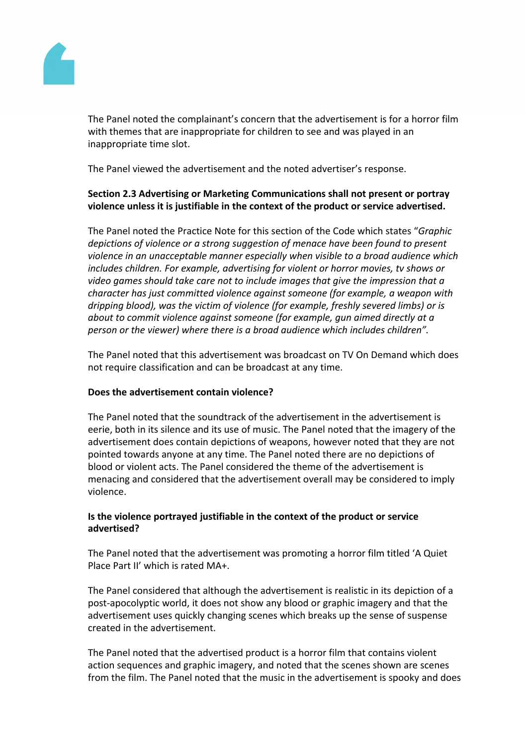

The Panel noted the complainant's concern that the advertisement is for a horror film with themes that are inappropriate for children to see and was played in an inappropriate time slot.

The Panel viewed the advertisement and the noted advertiser's response.

# **Section 2.3 Advertising or Marketing Communications shall not present or portray violence unless it is justifiable in the context of the product or service advertised.**

The Panel noted the Practice Note for this section of the Code which states "*Graphic depictions of violence or a strong suggestion of menace have been found to present violence in an unacceptable manner especially when visible to a broad audience which includes children. For example, advertising for violent or horror movies, tv shows or video games should take care not to include images that give the impression that a character has just committed violence against someone (for example, a weapon with dripping blood), was the victim of violence (for example, freshly severed limbs) or is about to commit violence against someone (for example, gun aimed directly at a person or the viewer) where there is a broad audience which includes children".*

The Panel noted that this advertisement was broadcast on TV On Demand which does not require classification and can be broadcast at any time.

## **Does the advertisement contain violence?**

The Panel noted that the soundtrack of the advertisement in the advertisement is eerie, both in its silence and its use of music. The Panel noted that the imagery of the advertisement does contain depictions of weapons, however noted that they are not pointed towards anyone at any time. The Panel noted there are no depictions of blood or violent acts. The Panel considered the theme of the advertisement is menacing and considered that the advertisement overall may be considered to imply violence.

## **Is the violence portrayed justifiable in the context of the product or service advertised?**

The Panel noted that the advertisement was promoting a horror film titled 'A Quiet Place Part II' which is rated MA+.

The Panel considered that although the advertisement is realistic in its depiction of a post-apocolyptic world, it does not show any blood or graphic imagery and that the advertisement uses quickly changing scenes which breaks up the sense of suspense created in the advertisement.

The Panel noted that the advertised product is a horror film that contains violent action sequences and graphic imagery, and noted that the scenes shown are scenes from the film. The Panel noted that the music in the advertisement is spooky and does